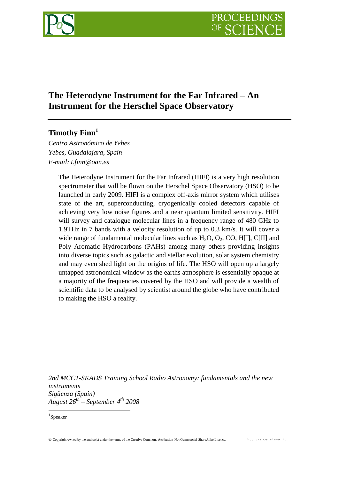

# **The Heterodyne Instrument for the Far Infrared – An Instrument for the Herschel Space Observatory**

# **Timothy Finn<sup>1</sup>**

*Centro Astronómico de Yebes Yebes, Guadalajara, Spain E-mail: t.finn@oan.es*

> The Heterodyne Instrument for the Far Infrared (HIFI) is a very high resolution spectrometer that will be flown on the Herschel Space Observatory (HSO) to be launched in early 2009. HIFI is a complex off-axis mirror system which utilises state of the art, superconducting, cryogenically cooled detectors capable of achieving very low noise figures and a near quantum limited sensitivity. HIFI will survey and catalogue molecular lines in a frequency range of 480 GHz to 1.9THz in 7 bands with a velocity resolution of up to 0.3 km/s. It will cover a wide range of fundamental molecular lines such as  $H_2O$ ,  $O_2$ ,  $CO$ ,  $H[1]$ ,  $C[1]$  and Poly Aromatic Hydrocarbons (PAHs) among many others providing insights into diverse topics such as galactic and stellar evolution, solar system chemistry and may even shed light on the origins of life. The HSO will open up a largely untapped astronomical window as the earths atmosphere is essentially opaque at a majority of the frequencies covered by the HSO and will provide a wealth of scientific data to be analysed by scientist around the globe who have contributed to making the HSO a reality.

*2nd MCCT-SKADS Training School Radio Astronomy: fundamentals and the new instruments Sigüenza (Spain) August 26th – September 4th 2008*

Copyright owned by the author(s) under the terms of the Creative Commons Attribution-NonCommercial-ShareAlike Licence. http://pos.sissa.it

<sup>1</sup> 1 Speaker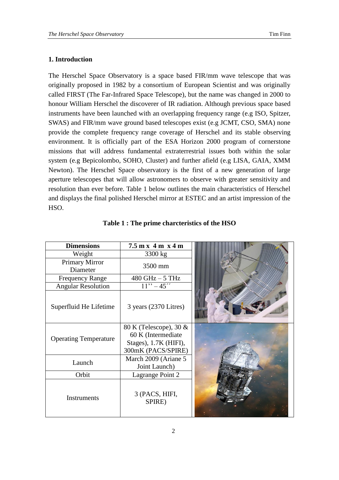## **1. Introduction**

The Herschel Space Observatory is a space based FIR/mm wave telescope that was originally proposed in 1982 by a consortium of European Scientist and was originally called FIRST (The Far-Infrared Space Telescope), but the name was changed in 2000 to honour William Herschel the discoverer of IR radiation. Although previous space based instruments have been launched with an overlapping frequency range (e.g ISO, Spitzer, SWAS) and FIR/mm wave ground based telescopes exist (e.g JCMT, CSO, SMA) none provide the complete frequency range coverage of Herschel and its stable observing environment. It is officially part of the ESA Horizon 2000 program of cornerstone missions that will address fundamental extraterrestrial issues both within the solar system (e.g Bepicolombo, SOHO, Cluster) and further afield (e.g LISA, GAIA, XMM Newton). The Herschel Space observatory is the first of a new generation of large aperture telescopes that will allow astronomers to observe with greater sensitivity and resolution than ever before. Table 1 below outlines the main characteristics of Herschel and displays the final polished Herschel mirror at ESTEC and an artist impression of the HSO.

| <b>Dimensions</b>                 | $7.5$ m x 4 m x 4 m                                                                         |  |
|-----------------------------------|---------------------------------------------------------------------------------------------|--|
| Weight                            | 3300 kg                                                                                     |  |
| <b>Primary Mirror</b><br>Diameter | 3500 mm                                                                                     |  |
| <b>Frequency Range</b>            | $480$ GHz $-5$ THz                                                                          |  |
| <b>Angular Resolution</b>         | $11" - 45"$                                                                                 |  |
| Superfluid He Lifetime            | 3 years (2370 Litres)                                                                       |  |
| <b>Operating Temperature</b>      | 80 K (Telescope), 30 &<br>60 K (Intermediate<br>Stages), 1.7K (HIFI),<br>300mK (PACS/SPIRE) |  |
| Launch                            | March 2009 (Ariane 5<br>Joint Launch)                                                       |  |
| Orbit                             | Lagrange Point 2                                                                            |  |
| Instruments                       | 3 (PACS, HIFI,<br>SPIRE)                                                                    |  |

**Table 1 : The prime charcteristics of the HSO**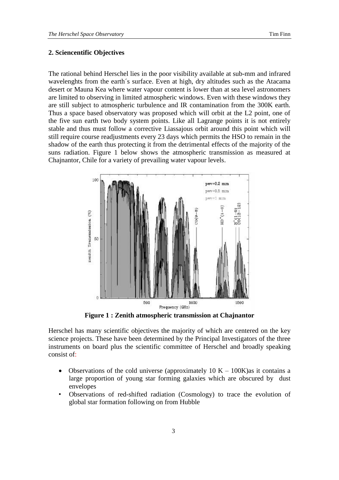### **2. Sciencentific Objectives**

The rational behind Herschel lies in the poor visibility available at sub-mm and infrared wavelenghts from the earth´s surface. Even at high, dry altitudes such as the Atacama desert or Mauna Kea where water vapour content is lower than at sea level astronomers are limited to observing in limited atmospheric windows. Even with these windows they are still subject to atmospheric turbulence and IR contamination from the 300K earth. Thus a space based observatory was proposed which will orbit at the L2 point, one of the five sun earth two body system points. Like all Lagrange points it is not entirely stable and thus must follow a corrective Liassajous orbit around this point which will still require course readjustments every 23 days which permits the HSO to remain in the shadow of the earth thus protecting it from the detrimental effects of the majority of the suns radiation. Figure 1 below shows the atmospheric transmission as measured at Chajnantor, Chile for a variety of prevailing water vapour levels.



**Figure 1 : Zenith atmospheric transmission at Chajnantor**

Herschel has many scientific objectives the majority of which are centered on the key science projects. These have been determined by the Principal Investigators of the three instruments on board plus the scientific committee of Herschel and broadly speaking consist of:

- Observations of the cold universe (approximately  $10 K 100K$ ) as it contains a large proportion of young star forming galaxies which are obscured by dust envelopes
- Observations of red-shifted radiation (Cosmology) to trace the evolution of global star formation following on from Hubble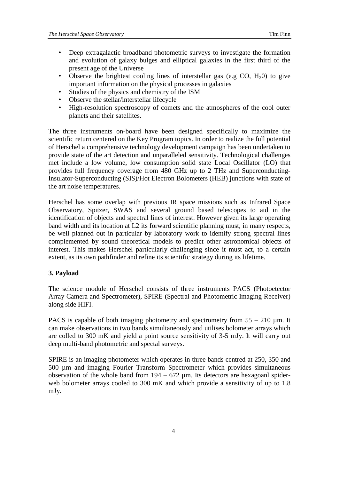- Deep extragalactic broadband photometric surveys to investigate the formation and evolution of galaxy bulges and elliptical galaxies in the first third of the present age of the Universe
- Observe the brightest cooling lines of interstellar gas (e.g CO,  $H_2(0)$ ) to give important information on the physical processes in galaxies
- Studies of the physics and chemistry of the ISM
- Observe the stellar/interstellar lifecycle
- High-resolution spectroscopy of comets and the atmospheres of the cool outer planets and their satellites.

The three instruments on-board have been designed specifically to maximize the scientific return centered on the Key Program topics. In order to realize the full potential of Herschel a comprehensive technology development campaign has been undertaken to provide state of the art detection and unparalleled sensitivity. Technological challenges met include a low volume, low consumption solid state Local Oscillator (LO) that provides full frequency coverage from 480 GHz up to 2 THz and Superconducting-Insulator-Superconducting (SIS)/Hot Electron Bolometers (HEB) junctions with state of the art noise temperatures.

Herschel has some overlap with previous IR space missions such as Infrared Space Observatory, Spitzer, SWAS and several ground based telescopes to aid in the identification of objects and spectral lines of interest. However given its large operating band width and its location at L2 its forward scientific planning must, in many respects, be well planned out in particular by laboratory work to identify strong spectral lines complemented by sound theoretical models to predict other astronomical objects of interest. This makes Herschel particularly challenging since it must act, to a certain extent, as its own pathfinder and refine its scientific strategy during its lifetime.

### **3. Payload**

The science module of Herschel consists of three instruments PACS (Photoetector Array Camera and Spectrometer), SPIRE (Spectral and Photometric Imaging Receiver) along side HIFI.

PACS is capable of both imaging photometry and spectrometry from  $55 - 210 \mu m$ . It can make observations in two bands simultaneously and utilises bolometer arrays which are colled to 300 mK and yield a point source sensitivity of 3-5 mJy. It will carry out deep multi-band photometric and spectal surveys.

SPIRE is an imaging photometer which operates in three bands centred at 250, 350 and 500 µm and imaging Fourier Transform Spectrometer which provides simultaneous observation of the whole band from  $194 - 672$  µm. Its detectors are hexagoanl spiderweb bolometer arrays cooled to 300 mK and which provide a sensitivity of up to 1.8 mJy.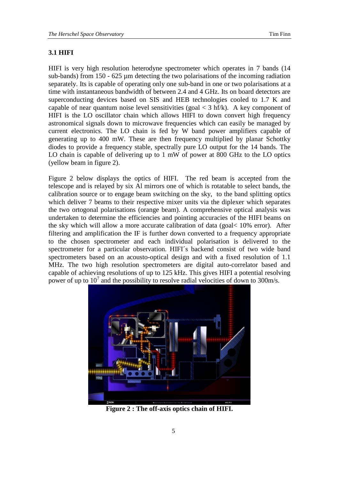#### **3.1 HIFI**

HIFI is very high resolution heterodyne spectrometer which operates in 7 bands (14 sub-bands) from 150 - 625 µm detecting the two polarisations of the incoming radiation separately. Its is capable of operating only one sub-band in one or two polarisations at a time with instantaneous bandwidth of between 2.4 and 4 GHz. Its on board detectors are superconducting devices based on SIS and HEB technologies cooled to 1.7 K and capable of near quantum noise level sensitivities (goal  $\lt$  3 hf/k). A key component of HIFI is the LO oscillator chain which allows HIFI to down convert high frequency astronomical signals down to microwave frequencies which can easily be managed by current electronics. The LO chain is fed by W band power amplifiers capable of generating up to 400 mW. These are then frequency multiplied by planar Schottky diodes to provide a frequency stable, spectrally pure LO output for the 14 bands. The LO chain is capable of delivering up to 1 mW of power at 800 GHz to the LO optics (yellow beam in figure 2).

Figure 2 below displays the optics of HIFI. The red beam is accepted from the telescope and is relayed by six Al mirrors one of which is rotatable to select bands, the calibration source or to engage beam switching on the sky, to the band splitting optics which deliver 7 beams to their respective mixer units via the diplexer which separates the two ortogonal polarisations (orange beam). A comprehensive optical analysis was undertaken to determine the efficiencies and pointing accuracies of the HIFI beams on the sky which will allow a more accurate calibration of data (goal< 10% error). After filtering and amplification the IF is further down converted to a frequency appropriate to the chosen spectrometer and each individual polarisation is delivered to the spectrometer for a particular observation. HIFI´s backend consist of two wide band spectrometers based on an acousto-optical design and with a fixed resolution of 1.1 MHz. The two high resolution spectrometers are digital auto-correlator based and capable of achieving resolutions of up to 125 kHz. This gives HIFI a potential resolving power of up to  $10^7$  and the possibility to resolve radial velocities of down to 300m/s.



**Figure 2 : The off-axis optics chain of HIFI.**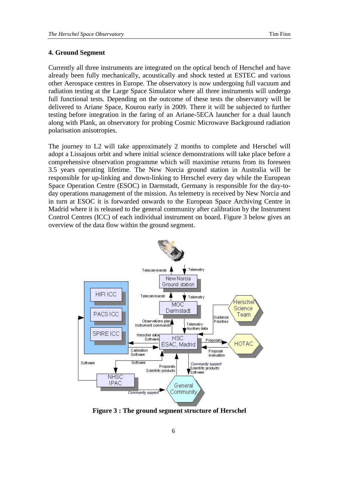#### **4. Ground Segment**

Currently all three instruments are integrated on the optical bench of Herschel and have already been fully mechanically, acoustically and shock tested at ESTEC and various other Aerospace centres in Europe. The observatory is now undergoing full vacuum and radiation testing at the Large Space Simulator where all three instruments will undergo full functional tests. Depending on the outcome of these tests the observatory will be delivered to Ariane Space, Kourou early in 2009. There it will be subjected to further testing before integration in the faring of an Ariane-5ECA launcher for a dual launch along with Plank, an observatory for probing Cosmic Microwave Background radiation polarisation anisotropies.

The journey to L2 will take approximately 2 months to complete and Herschel will adopt a Lissajous orbit and where initial science demonstrations will take place before a comprehensive observation programme which will maximise returns from its foreseen 3.5 years operating lifetime. The New Norcia ground station in Australia will be responsible for up-linking and down-linking to Herschel every day while the European Space Operation Centre (ESOC) in Darmstadt, Germany is responsible for the day-today operations management of the mission. As telemetry is received by New Norcia and in turn at ESOC it is forwarded onwards to the European Space Archiving Centre in Madrid where it is released to the general community after calibration by the Instrument Control Centres (ICC) of each individual instrument on board. Figure 3 below gives an overview of the data flow within the ground segment.



**Figure 3 : The ground segment structure of Herschel**